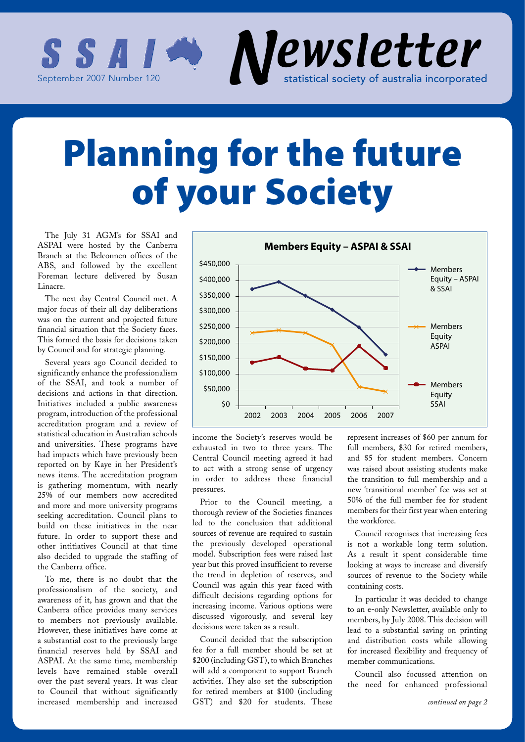

# Planning for the future of your Society

The July 31 AGM's for SSAI and ASPAI were hosted by the Canberra Branch at the Belconnen offices of the ABS, and followed by the excellent Foreman lecture delivered by Susan Linacre.

The next day Central Council met. A major focus of their all day deliberations was on the current and projected future financial situation that the Society faces. This formed the basis for decisions taken by Council and for strategic planning.

Several years ago Council decided to significantly enhance the professionalism of the SSAI, and took a number of decisions and actions in that direction. Initiatives included a public awareness program, introduction of the professional accreditation program and a review of statistical education in Australian schools and universities. These programs have had impacts which have previously been reported on by Kaye in her President's news items. The accreditation program is gathering momentum, with nearly 25% of our members now accredited and more and more university programs seeking accreditation. Council plans to build on these initiatives in the near future. In order to support these and other intitiatives Council at that time also decided to upgrade the staffing of the Canberra office.

To me, there is no doubt that the professionalism of the society, and awareness of it, has grown and that the Canberra office provides many services to members not previously available. However, these initiatives have come at a substantial cost to the previously large financial reserves held by SSAI and ASPAI. At the same time, membership levels have remained stable overall over the past several years. It was clear to Council that without significantly increased membership and increased



income the Society's reserves would be exhausted in two to three years. The Central Council meeting agreed it had to act with a strong sense of urgency in order to address these financial pressures.

Prior to the Council meeting, a thorough review of the Societies finances led to the conclusion that additional sources of revenue are required to sustain the previously developed operational model. Subscription fees were raised last year but this proved insufficient to reverse the trend in depletion of reserves, and Council was again this year faced with difficult decisions regarding options for increasing income. Various options were discussed vigorously, and several key decisions were taken as a result.

Council decided that the subscription fee for a full member should be set at \$200 (including GST), to which Branches will add a component to support Branch activities. They also set the subscription for retired members at \$100 (including GST) and \$20 for students. These

represent increases of \$60 per annum for full members, \$30 for retired members, and \$5 for student members. Concern was raised about assisting students make the transition to full membership and a new 'transitional member' fee was set at 50% of the full member fee for student members for their first year when entering the workforce.

Council recognises that increasing fees is not a workable long term solution. As a result it spent considerable time looking at ways to increase and diversify sources of revenue to the Society while containing costs.

In particular it was decided to change to an e-only Newsletter, available only to members, by July 2008. This decision will lead to a substantial saving on printing and distribution costs while allowing for increased flexibility and frequency of member communications.

Council also focussed attention on the need for enhanced professional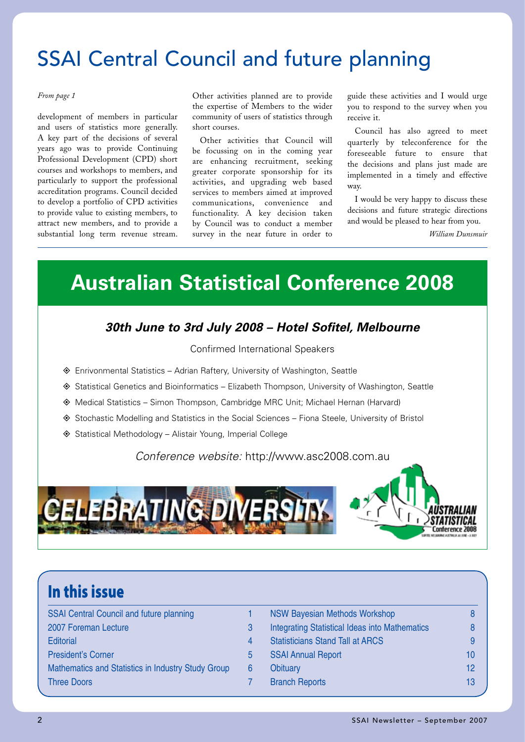### SSAI Central Council and future planning

development of members in particular and users of statistics more generally. A key part of the decisions of several years ago was to provide Continuing Professional Development (CPD) short courses and workshops to members, and particularly to support the professional accreditation programs. Council decided to develop a portfolio of CPD activities to provide value to existing members, to attract new members, and to provide a substantial long term revenue stream.

*From page 1* Other activities planned are to provide the expertise of Members to the wider community of users of statistics through short courses.

> Other activities that Council will be focussing on in the coming year are enhancing recruitment, seeking greater corporate sponsorship for its activities, and upgrading web based services to members aimed at improved communications, convenience and functionality. A key decision taken by Council was to conduct a member survey in the near future in order to

guide these activities and I would urge you to respond to the survey when you receive it.

Council has also agreed to meet quarterly by teleconference for the foreseeable future to ensure that the decisions and plans just made are implemented in a timely and effective way.

I would be very happy to discuss these decisions and future strategic directions and would be pleased to hear from you.

*William Dunsmuir*

### **Australian Statistical Conference 2008**

### *30th June to 3rd July 2008 – Hotel Sofitel, Melbourne*

#### Confirmed International Speakers

- $\diamond$  Enrivonmental Statistics Adrian Raftery, University of Washington, Seattle
- ◆ Statistical Genetics and Bioinformatics Elizabeth Thompson, University of Washington, Seattle
- ◆ Medical Statistics Simon Thompson, Cambridge MRC Unit; Michael Hernan (Harvard)
- ◆ Stochastic Modelling and Statistics in the Social Sciences Fiona Steele, University of Bristol
- ◆ Statistical Methodology Alistair Young, Imperial College

#### *Conference website:* http://www.asc2008.com.au





### In this issue

| <b>SSAI Central Council and future planning</b>    |   |  |
|----------------------------------------------------|---|--|
| 2007 Foreman Lecture                               | 3 |  |
| <b>Editorial</b>                                   |   |  |
| <b>President's Corner</b>                          | 5 |  |
| Mathematics and Statistics in Industry Study Group | 6 |  |
| <b>Three Doors</b>                                 |   |  |
|                                                    |   |  |

| <b>Integrating Statistical Ideas into Mathematics</b><br>8<br><b>Statisticians Stand Tall at ARCS</b><br>9<br><b>SSAI Annual Report</b><br>10<br>12<br>Obituary |
|-----------------------------------------------------------------------------------------------------------------------------------------------------------------|
|                                                                                                                                                                 |
|                                                                                                                                                                 |
|                                                                                                                                                                 |
|                                                                                                                                                                 |
| <b>Branch Reports</b><br>13                                                                                                                                     |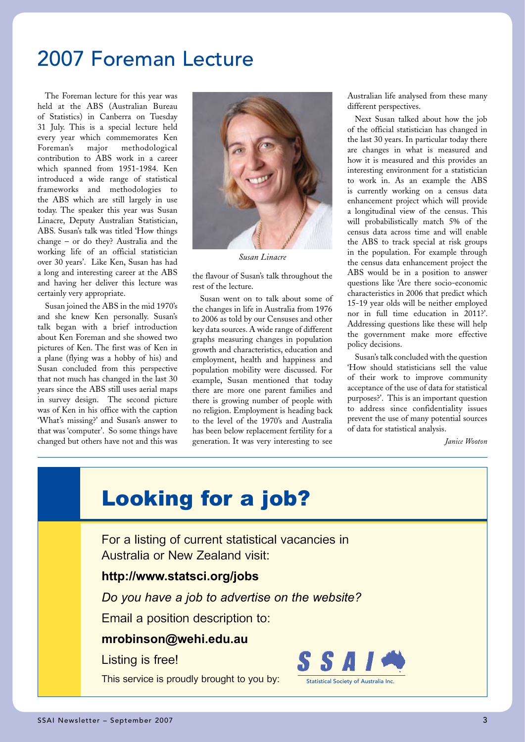### 2007 Foreman Lecture

The Foreman lecture for this year was held at the ABS (Australian Bureau of Statistics) in Canberra on Tuesday 31 July. This is a special lecture held every year which commemorates Ken Foreman's major methodological contribution to ABS work in a career which spanned from 1951-1984. Ken introduced a wide range of statistical frameworks and methodologies to the ABS which are still largely in use today. The speaker this year was Susan Linacre, Deputy Australian Statistician, ABS. Susan's talk was titled 'How things change – or do they? Australia and the working life of an official statistician over 30 years'. Like Ken, Susan has had a long and interesting career at the ABS and having her deliver this lecture was certainly very appropriate.

Susan joined the ABS in the mid 1970's and she knew Ken personally. Susan's talk began with a brief introduction about Ken Foreman and she showed two pictures of Ken. The first was of Ken in a plane (flying was a hobby of his) and Susan concluded from this perspective that not much has changed in the last 30 years since the ABS still uses aerial maps in survey design. The second picture was of Ken in his office with the caption 'What's missing?' and Susan's answer to that was 'computer'. So some things have changed but others have not and this was



*Susan Linacre*

the flavour of Susan's talk throughout the rest of the lecture.

Susan went on to talk about some of the changes in life in Australia from 1976 to 2006 as told by our Censuses and other key data sources. A wide range of different graphs measuring changes in population growth and characteristics, education and employment, health and happiness and population mobility were discussed. For example, Susan mentioned that today there are more one parent families and there is growing number of people with no religion. Employment is heading back to the level of the 1970's and Australia has been below replacement fertility for a generation. It was very interesting to see Australian life analysed from these many different perspectives.

Next Susan talked about how the job of the official statistician has changed in the last 30 years. In particular today there are changes in what is measured and how it is measured and this provides an interesting environment for a statistician to work in. As an example the ABS is currently working on a census data enhancement project which will provide a longitudinal view of the census. This will probabilistically match 5% of the census data across time and will enable the ABS to track special at risk groups in the population. For example through the census data enhancement project the ABS would be in a position to answer questions like 'Are there socio-economic characteristics in 2006 that predict which 15-19 year olds will be neither employed nor in full time education in 2011?'. Addressing questions like these will help the government make more effective policy decisions.

Susan's talk concluded with the question 'How should statisticians sell the value of their work to improve community acceptance of the use of data for statistical purposes?'. This is an important question to address since confidentiality issues prevent the use of many potential sources of data for statistical analysis.

 *Janice Wooton*

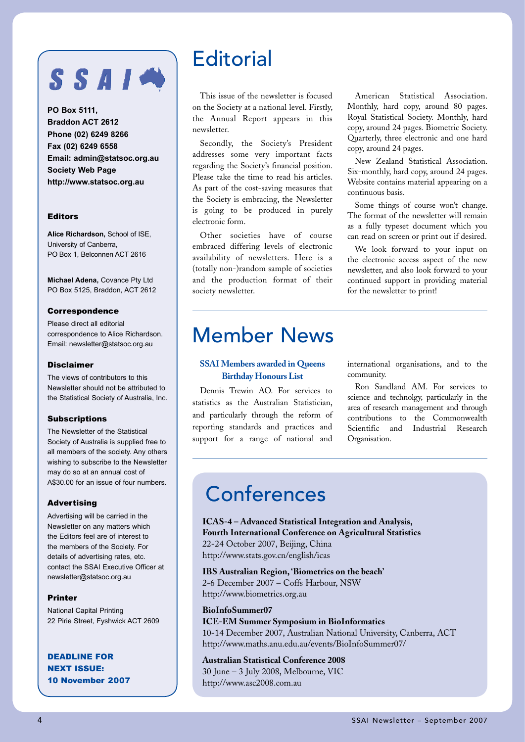# SSAI

**PO Box 5111, Braddon ACT 2612 Phone (02) 6249 8266 Fax (02) 6249 6558 Email: admin@statsoc.org.au Society Web Page http://www.statsoc.org.au**

#### Editors

**Alice Richardson,** School of ISE, University of Canberra, PO Box 1, Belconnen ACT 2616

**Michael Adena,** Covance Pty Ltd PO Box 5125, Braddon, ACT 2612

#### Correspondence

Please direct all editorial correspondence to Alice Richardson. Email: newsletter@statsoc.org.au

#### Disclaimer

The views of contributors to this Newsletter should not be attributed to the Statistical Society of Australia, Inc.

#### Subscriptions

The Newsletter of the Statistical Society of Australia is supplied free to all members of the society. Any others wishing to subscribe to the Newsletter may do so at an annual cost of A\$30.00 for an issue of four numbers.

#### Advertising

Advertising will be carried in the Newsletter on any matters which the Editors feel are of interest to the members of the Society. For details of advertising rates, etc. contact the SSAI Executive Officer at newsletter@statsoc.org.au

#### Printer

National Capital Printing 22 Pirie Street, Fyshwick ACT 2609

DEADLINE FOR NEXT ISSUE: 10 November 2007

### **Editorial**

This issue of the newsletter is focused on the Society at a national level. Firstly, the Annual Report appears in this newsletter.

Secondly, the Society's President addresses some very important facts regarding the Society's financial position. Please take the time to read his articles. As part of the cost-saving measures that the Society is embracing, the Newsletter is going to be produced in purely electronic form.

Other societies have of course embraced differing levels of electronic availability of newsletters. Here is a (totally non-)random sample of societies and the production format of their society newsletter.

American Statistical Association. Monthly, hard copy, around 80 pages. Royal Statistical Society. Monthly, hard copy, around 24 pages. Biometric Society. Quarterly, three electronic and one hard copy, around 24 pages.

New Zealand Statistical Association. Six-monthly, hard copy, around 24 pages. Website contains material appearing on a continuous basis.

Some things of course won't change. The format of the newsletter will remain as a fully typeset document which you can read on screen or print out if desired.

We look forward to your input on the electronic access aspect of the new newsletter, and also look forward to your continued support in providing material for the newsletter to print!

### Member News

#### **SSAI Members awarded in Queens Birthday Honours List**

Dennis Trewin AO. For services to statistics as the Australian Statistician, and particularly through the reform of reporting standards and practices and support for a range of national and international organisations, and to the community.

Ron Sandland AM. For services to science and technolgy, particularly in the area of research management and through contributions to the Commonwealth Scientific and Industrial Research Organisation.

### Conferences

**ICAS-4 – Advanced Statistical Integration and Analysis, Fourth International Conference on Agricultural Statistics** 22-24 October 2007, Beijing, China http://www.stats.gov.cn/english/icas

**IBS Australian Region, 'Biometrics on the beach'** 2-6 December 2007 – Coffs Harbour, NSW http://www.biometrics.org.au

#### **BioInfoSummer07**

**ICE-EM Summer Symposium in BioInformatics** 10-14 December 2007, Australian National University, Canberra, ACT http://www.maths.anu.edu.au/events/BioInfoSummer07/

**Australian Statistical Conference 2008** 30 June – 3 July 2008, Melbourne, VIC http://www.asc2008.com.au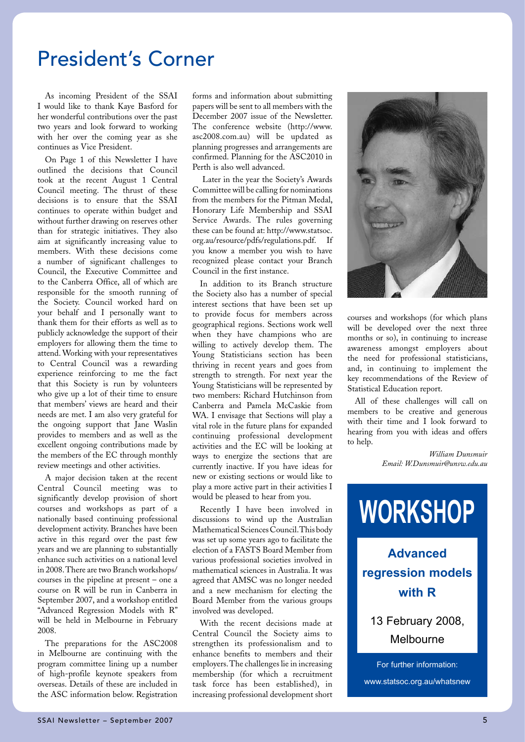### President's Corner

As incoming President of the SSAI I would like to thank Kaye Basford for her wonderful contributions over the past two years and look forward to working with her over the coming year as she continues as Vice President.

On Page 1 of this Newsletter I have outlined the decisions that Council took at the recent August 1 Central Council meeting. The thrust of these decisions is to ensure that the SSAI continues to operate within budget and without further drawing on reserves other than for strategic initiatives. They also aim at significantly increasing value to members. With these decisions come a number of significant challenges to Council, the Executive Committee and to the Canberra Office, all of which are responsible for the smooth running of the Society. Council worked hard on your behalf and I personally want to thank them for their efforts as well as to publicly acknowledge the support of their employers for allowing them the time to attend. Working with your representatives to Central Council was a rewarding experience reinforcing to me the fact that this Society is run by volunteers who give up a lot of their time to ensure that members' views are heard and their needs are met. I am also very grateful for the ongoing support that Jane Waslin provides to members and as well as the excellent ongoing contributions made by the members of the EC through monthly review meetings and other activities.

A major decision taken at the recent Central Council meeting was to significantly develop provision of short courses and workshops as part of a nationally based continuing professional development activity. Branches have been active in this regard over the past few years and we are planning to substantially enhance such activities on a national level in 2008. There are two Branch workshops/ courses in the pipeline at present – one a course on R will be run in Canberra in September 2007, and a workshop entitled "Advanced Regression Models with R" will be held in Melbourne in February 2008.

The preparations for the ASC2008 in Melbourne are continuing with the program committee lining up a number of high-profile keynote speakers from overseas. Details of these are included in the ASC information below. Registration

forms and information about submitting papers will be sent to all members with the December 2007 issue of the Newsletter. The conference website (http://www. asc2008.com.au) will be updated as planning progresses and arrangements are confirmed. Planning for the ASC2010 in Perth is also well advanced.

 Later in the year the Society's Awards Committee will be calling for nominations from the members for the Pitman Medal, Honorary Life Membership and SSAI Service Awards. The rules governing these can be found at: http://www.statsoc. org.au/resource/pdfs/regulations.pdf. If you know a member you wish to have recognized please contact your Branch Council in the first instance.

In addition to its Branch structure the Society also has a number of special interest sections that have been set up to provide focus for members across geographical regions. Sections work well when they have champions who are willing to actively develop them. The Young Statisticians section has been thriving in recent years and goes from strength to strength. For next year the Young Statisticians will be represented by two members: Richard Hutchinson from Canberra and Pamela McCaskie from WA. I envisage that Sections will play a vital role in the future plans for expanded continuing professional development activities and the EC will be looking at ways to energize the sections that are currently inactive. If you have ideas for new or existing sections or would like to play a more active part in their activities I would be pleased to hear from you.

Recently I have been involved in discussions to wind up the Australian Mathematical Sciences Council. This body was set up some years ago to facilitate the election of a FASTS Board Member from various professional societies involved in mathematical sciences in Australia. It was agreed that AMSC was no longer needed and a new mechanism for electing the Board Member from the various groups involved was developed.

With the recent decisions made at Central Council the Society aims to strengthen its professionalism and to enhance benefits to members and their employers. The challenges lie in increasing membership (for which a recruitment task force has been established), in increasing professional development short



courses and workshops (for which plans will be developed over the next three months or so), in continuing to increase awareness amongst employers about the need for professional statisticians, and, in continuing to implement the key recommendations of the Review of Statistical Education report.

All of these challenges will call on members to be creative and generous with their time and I look forward to hearing from you with ideas and offers to help.

> *William Dunsmuir Email: W.Dunsmuir@unsw.edu.au*

## **WORKSHOP**

### **Advanced regression models with R**

### 13 February 2008, Melbourne

For further information: www.statsoc.org.au/whatsnew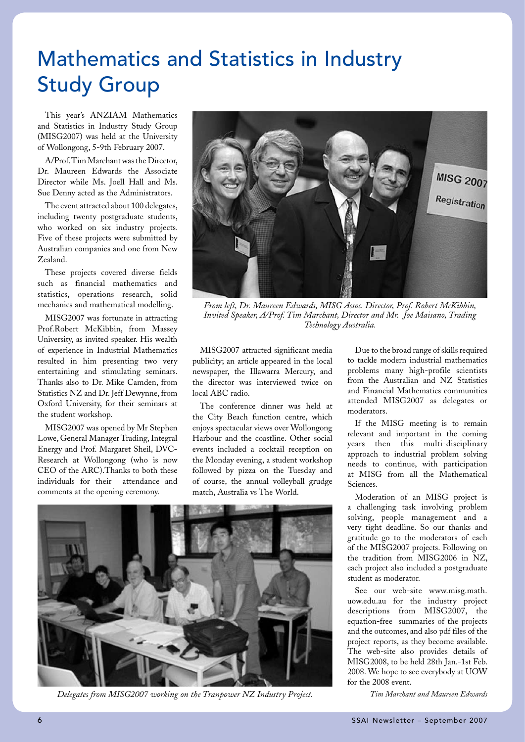## Mathematics and Statistics in Industry Study Group

This year's ANZIAM Mathematics and Statistics in Industry Study Group (MISG2007) was held at the University of Wollongong, 5-9th February 2007.

A/Prof. Tim Marchant was the Director, Dr. Maureen Edwards the Associate Director while Ms. Joell Hall and Ms. Sue Denny acted as the Administrators.

The event attracted about 100 delegates, including twenty postgraduate students, who worked on six industry projects. Five of these projects were submitted by Australian companies and one from New Zealand.

These projects covered diverse fields such as financial mathematics and statistics, operations research, solid mechanics and mathematical modelling.

MISG2007 was fortunate in attracting Prof.Robert McKibbin, from Massey University, as invited speaker. His wealth of experience in Industrial Mathematics resulted in him presenting two very entertaining and stimulating seminars. Thanks also to Dr. Mike Camden, from Statistics NZ and Dr. Jeff Dewynne, from Oxford University, for their seminars at the student workshop.

MISG2007 was opened by Mr Stephen Lowe, General Manager Trading, Integral Energy and Prof. Margaret Sheil, DVC-Research at Wollongong (who is now CEO of the ARC).Thanks to both these individuals for their attendance and comments at the opening ceremony.



*From left, Dr. Maureen Edwards, MISG Assoc. Director, Prof. Robert McKibbin, Invited Speaker, A/Prof. Tim Marchant, Director and Mr. Joe Maisano, Trading Technology Australia.*

MISG2007 attracted significant media publicity; an article appeared in the local newspaper, the Illawarra Mercury, and the director was interviewed twice on local ABC radio.

The conference dinner was held at the City Beach function centre, which enjoys spectacular views over Wollongong Harbour and the coastline. Other social events included a cocktail reception on the Monday evening, a student workshop followed by pizza on the Tuesday and of course, the annual volleyball grudge match, Australia vs The World.



*Delegates from MISG2007 working on the Tranpower NZ Industry Project.*

Due to the broad range of skills required to tackle modern industrial mathematics problems many high-profile scientists from the Australian and NZ Statistics and Financial Mathematics communities attended MISG2007 as delegates or moderators.

If the MISG meeting is to remain relevant and important in the coming years then this multi-disciplinary approach to industrial problem solving needs to continue, with participation at MISG from all the Mathematical Sciences.

Moderation of an MISG project is a challenging task involving problem solving, people management and a very tight deadline. So our thanks and gratitude go to the moderators of each of the MISG2007 projects. Following on the tradition from MISG2006 in NZ, each project also included a postgraduate student as moderator.

See our web-site www.misg.math. uow.edu.au for the industry project descriptions from MISG2007, the equation-free summaries of the projects and the outcomes, and also pdf files of the project reports, as they become available. The web-site also provides details of MISG2008, to be held 28th Jan.-1st Feb. 2008. We hope to see everybody at UOW for the 2008 event.

*Tim Marchant and Maureen Edwards*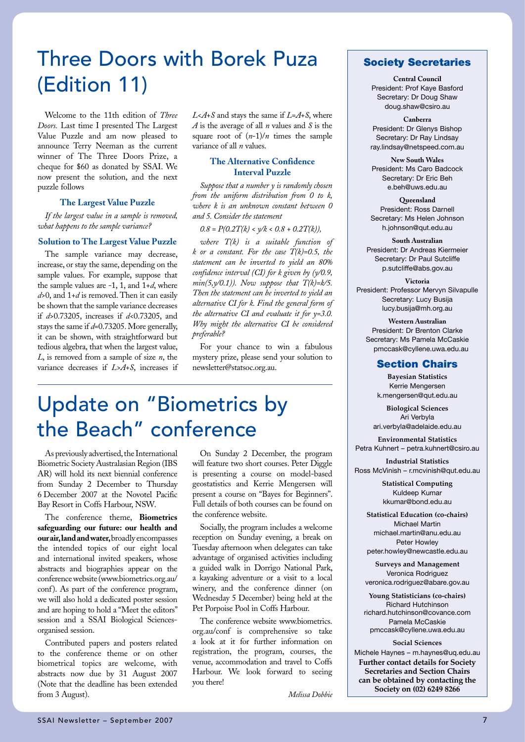## Three Doors with Borek Puza (Edition 11)

Welcome to the 11th edition of *Three Doors.* Last time I presented The Largest Value Puzzle and am now pleased to announce Terry Neeman as the current winner of The Three Doors Prize, a cheque for \$60 as donated by SSAI. We now present the solution, and the next puzzle follows

#### **The Largest Value Puzzle**

*If the largest value in a sample is removed, what happens to the sample variance?*

#### **Solution to The Largest Value Puzzle**

The sample variance may decrease, increase, or stay the same, depending on the sample values. For example, suppose that the sample values are -1, 1, and 1+*d*, where *d*>0, and 1+*d* is removed. Then it can easily be shown that the sample variance decreases if *d*>0.73205, increases if *d*<0.73205, and stays the same if *d*=0.73205. More generally, it can be shown, with straightforward but tedious algebra, that when the largest value, *L*, is removed from a sample of size *n*, the variance decreases if *L*>*A*+*S*, increases if

*L*<*A*+*S* and stays the same if *L*=*A*+*S*, where *A* is the average of all *n* values and *S* is the square root of  $(n-1)/n$  times the sample variance of all *n* values.

#### **The Alternative Confidence Interval Puzzle**

*Suppose that a number y is randomly chosen from the uniform distribution from 0 to k, where k is an unknown constant between 0 and 5. Consider the statement*

 $0.8 = P(0.2T/k) < \sqrt{k} < 0.8 + 0.2T(k)$ ,

*where T(k) is a suitable function of k or a constant. For the case T(k)=0.5, the statement can be inverted to yield an 80% confidence interval (CI) for k given by (y/0.9, min(5,y/0.1)). Now suppose that T(k)=k/5. Then the statement can be inverted to yield an alternative CI for k. Find the general form of the alternative CI and evaluate it for y=3.0. Why might the alternative CI be considered preferable?*

For your chance to win a fabulous mystery prize, please send your solution to newsletter@statsoc.org.au.

### Update on "Biometrics by the Beach" conference

As previously advertised, the International Biometric Society Australasian Region (IBS AR) will hold its next biennial conference from Sunday 2 December to Thursday 6 December 2007 at the Novotel Pacific Bay Resort in Coffs Harbour, NSW.

The conference theme, **Biometrics safeguarding our future: our health and our air, land and water,** broadly encompasses the intended topics of our eight local and international invited speakers, whose abstracts and biographies appear on the conference website (www.biometrics.org.au/ conf). As part of the conference program, we will also hold a dedicated poster session and are hoping to hold a "Meet the editors" session and a SSAI Biological Sciencesorganised session.

Contributed papers and posters related to the conference theme or on other biometrical topics are welcome, with abstracts now due by 31 August 2007 (Note that the deadline has been extended from 3 August).

On Sunday 2 December, the program will feature two short courses. Peter Diggle is presenting a course on model-based geostatistics and Kerrie Mengersen will present a course on "Bayes for Beginners". Full details of both courses can be found on the conference website.

Socially, the program includes a welcome reception on Sunday evening, a break on Tuesday afternoon when delegates can take advantage of organised activities including a guided walk in Dorrigo National Park, a kayaking adventure or a visit to a local winery, and the conference dinner (on Wednesday 5 December) being held at the Pet Porpoise Pool in Coffs Harbour.

The conference website www.biometrics. org.au/conf is comprehensive so take a look at it for further information on registration, the program, courses, the venue, accommodation and travel to Coffs Harbour. We look forward to seeing you there!

Society Secretaries

**Central Council** President: Prof Kaye Basford Secretary: Dr Doug Shaw doug.shaw@csiro.au

**Canberra** President: Dr Glenys Bishop Secretary: Dr Ray Lindsay ray.lindsay@netspeed.com.au

**New South Wales** President: Ms Caro Badcock Secretary: Dr Eric Beh e.beh@uws.edu.au

**Queensland** President: Ross Darnell Secretary: Ms Helen Johnson h.johnson@qut.edu.au

**South Australian** President: Dr Andreas Kiermeier Secretary: Dr Paul Sutcliffe p.sutcliffe@abs.gov.au

**Victoria** President: Professor Mervyn Silvapulle Secretary: Lucy Busija lucy.busija@mh.org.au

**Western Australian** President: Dr Brenton Clarke Secretary: Ms Pamela McCaskie pmccask@cyllene.uwa.edu.au

#### Section Chairs

**Bayesian Statistics** Kerrie Mengersen k.mengersen@qut.edu.au

**Biological Sciences** Ari Verbyla ari.verbyla@adelaide.edu.au

**Environmental Statistics** Petra Kuhnert – petra.kuhnert@csiro.au

**Industrial Statistics** Ross McVinish – r.mcvinish@qut.edu.au

> **Statistical Computing** Kuldeep Kumar kkumar@bond.edu.au

**Statistical Education (co-chairs)** Michael Martin michael.martin@anu.edu.au Peter Howley peter.howley@newcastle.edu.au

**Surveys and Management** Veronica Rodriguez veronica.rodriguez@abare.gov.au

**Young Statisticians (co-chairs)** Richard Hutchinson richard.hutchinson@covance.com Pamela McCaskie pmccask@cyllene.uwa.edu.au

**Social Sciences** Michele Haynes – m.haynes@uq.edu.au **Further contact details for Society Secretaries and Section Chairs can be obtained by contacting the** 

**Society on (02) 6249 8266**

*Melissa Dobbie*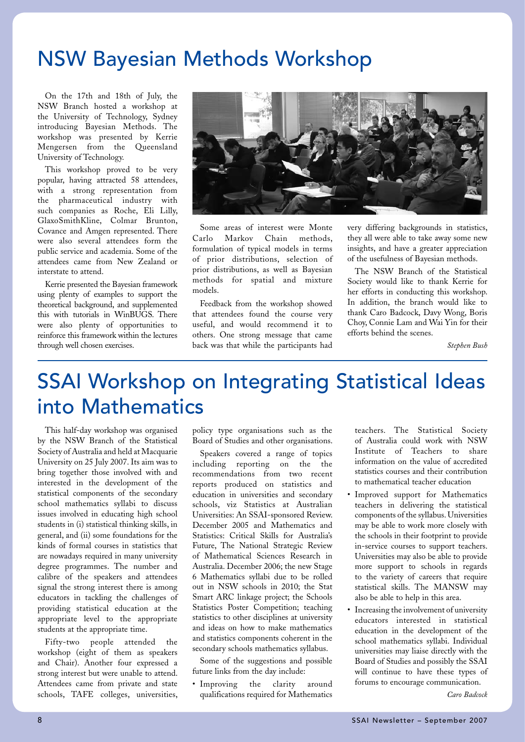### NSW Bayesian Methods Workshop

On the 17th and 18th of July, the NSW Branch hosted a workshop at the University of Technology, Sydney introducing Bayesian Methods. The workshop was presented by Kerrie Mengersen from the Queensland University of Technology.

This workshop proved to be very popular, having attracted 58 attendees, with a strong representation from the pharmaceutical industry with such companies as Roche, Eli Lilly, GlaxoSmithKline, Colmar Brunton, Covance and Amgen represented. There were also several attendees form the public service and academia. Some of the attendees came from New Zealand or interstate to attend.

Kerrie presented the Bayesian framework using plenty of examples to support the theoretical background, and supplemented this with tutorials in WinBUGS. There were also plenty of opportunities to reinforce this framework within the lectures through well chosen exercises.



Some areas of interest were Monte Carlo Markov Chain methods, formulation of typical models in terms of prior distributions, selection of prior distributions, as well as Bayesian methods for spatial and mixture models.

Feedback from the workshop showed that attendees found the course very useful, and would recommend it to others. One strong message that came back was that while the participants had

very differing backgrounds in statistics, they all were able to take away some new insights, and have a greater appreciation of the usefulness of Bayesian methods.

The NSW Branch of the Statistical Society would like to thank Kerrie for her efforts in conducting this workshop. In addition, the branch would like to thank Caro Badcock, Davy Wong, Boris Choy, Connie Lam and Wai Yin for their efforts behind the scenes.

*Stephen Bush*

### SSAI Workshop on Integrating Statistical Ideas into Mathematics

This half-day workshop was organised by the NSW Branch of the Statistical Society of Australia and held at Macquarie University on 25 July 2007. Its aim was to bring together those involved with and interested in the development of the statistical components of the secondary school mathematics syllabi to discuss issues involved in educating high school students in (i) statistical thinking skills, in general, and (ii) some foundations for the kinds of formal courses in statistics that are nowadays required in many university degree programmes. The number and calibre of the speakers and attendees signal the strong interest there is among educators in tackling the challenges of providing statistical education at the appropriate level to the appropriate students at the appropriate time.

Fifty-two people attended the workshop (eight of them as speakers and Chair). Another four expressed a strong interest but were unable to attend. Attendees came from private and state schools, TAFE colleges, universities, policy type organisations such as the Board of Studies and other organisations.

Speakers covered a range of topics including reporting on the the recommendations from two recent reports produced on statistics and education in universities and secondary schools, viz Statistics at Australian Universities: An SSAI-sponsored Review. December 2005 and Mathematics and Statistics: Critical Skills for Australia's Future, The National Strategic Review of Mathematical Sciences Research in Australia. December 2006; the new Stage 6 Mathematics syllabi due to be rolled out in NSW schools in 2010; the Stat Smart ARC linkage project; the Schools Statistics Poster Competition; teaching statistics to other disciplines at university and ideas on how to make mathematics and statistics components coherent in the secondary schools mathematics syllabus.

Some of the suggestions and possible future links from the day include:

• Improving the clarity around qualifications required for Mathematics

teachers. The Statistical Society of Australia could work with NSW Institute of Teachers to share information on the value of accredited statistics courses and their contribution to mathematical teacher education

- Improved support for Mathematics teachers in delivering the statistical components of the syllabus. Universities may be able to work more closely with the schools in their footprint to provide in-service courses to support teachers. Universities may also be able to provide more support to schools in regards to the variety of careers that require statistical skills. The MANSW may also be able to help in this area.
- Increasing the involvement of university educators interested in statistical education in the development of the school mathematics syllabi. Individual universities may liaise directly with the Board of Studies and possibly the SSAI will continue to have these types of forums to encourage communication.

*Caro Badcock*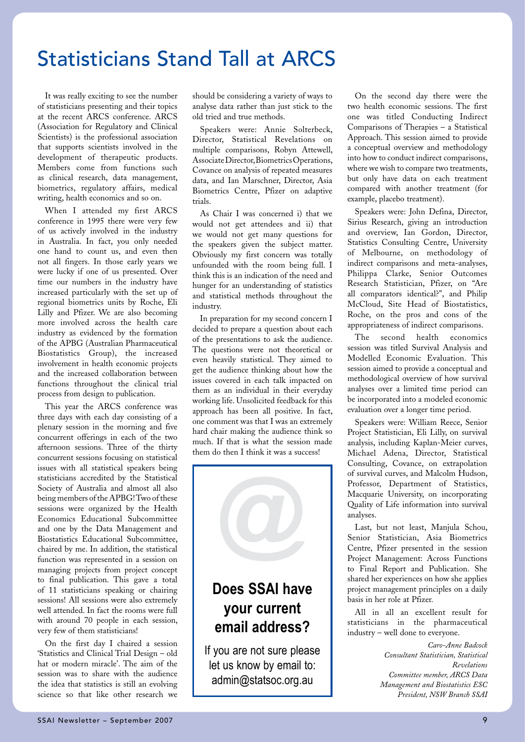### Statisticians Stand Tall at ARCS

It was really exciting to see the number of statisticians presenting and their topics at the recent ARCS conference. ARCS (Association for Regulatory and Clinical Scientists) is the professional association that supports scientists involved in the development of therapeutic products. Members come from functions such as clinical research, data management, biometrics, regulatory affairs, medical writing, health economics and so on.

When I attended my first ARCS conference in 1995 there were very few of us actively involved in the industry in Australia. In fact, you only needed one hand to count us, and even then not all fingers. In those early years we were lucky if one of us presented. Over time our numbers in the industry have increased particularly with the set up of regional biometrics units by Roche, Eli Lilly and Pfizer. We are also becoming more involved across the health care industry as evidenced by the formation of the APBG (Australian Pharmaceutical Biostatistics Group), the increased involvement in health economic projects and the increased collaboration between functions throughout the clinical trial process from design to publication.

This year the ARCS conference was three days with each day consisting of a plenary session in the morning and five concurrent offerings in each of the two afternoon sessions. Three of the thirty concurrent sessions focusing on statistical issues with all statistical speakers being statisticians accredited by the Statistical Society of Australia and almost all also being members of the APBG! Two of these sessions were organized by the Health Economics Educational Subcommittee and one by the Data Management and Biostatistics Educational Subcommittee, chaired by me. In addition, the statistical function was represented in a session on managing projects from project concept to final publication. This gave a total of 11 statisticians speaking or chairing sessions! All sessions were also extremely well attended. In fact the rooms were full with around 70 people in each session, very few of them statisticians!

On the first day I chaired a session 'Statistics and Clinical Trial Design – old hat or modern miracle'. The aim of the session was to share with the audience the idea that statistics is still an evolving science so that like other research we

should be considering a variety of ways to analyse data rather than just stick to the old tried and true methods.

Speakers were: Annie Solterbeck, Director, Statistical Revelations on multiple comparisons, Robyn Attewell, Associate Director, Biometrics Operations, Covance on analysis of repeated measures data, and Ian Marschner, Director, Asia Biometrics Centre, Pfizer on adaptive trials.

As Chair I was concerned i) that we would not get attendees and ii) that we would not get many questions for the speakers given the subject matter. Obviously my first concern was totally unfounded with the room being full. I think this is an indication of the need and hunger for an understanding of statistics and statistical methods throughout the industry.

In preparation for my second concern I decided to prepare a question about each of the presentations to ask the audience. The questions were not theoretical or even heavily statistical. They aimed to get the audience thinking about how the issues covered in each talk impacted on them as an individual in their everyday working life. Unsolicited feedback for this approach has been all positive. In fact, one comment was that I was an extremely hard chair making the audience think so much. If that is what the session made them do then I think it was a success!



let us know by email to: admin@statsoc.org.au

On the second day there were the two health economic sessions. The first one was titled Conducting Indirect Comparisons of Therapies – a Statistical Approach. This session aimed to provide a conceptual overview and methodology into how to conduct indirect comparisons, where we wish to compare two treatments, but only have data on each treatment compared with another treatment (for example, placebo treatment).

Speakers were: John Defina, Director, Sirius Research, giving an introduction and overview, Ian Gordon, Director, Statistics Consulting Centre, University of Melbourne, on methodology of indirect comparisons and meta-analyses, Philippa Clarke, Senior Outcomes Research Statistician, Pfizer, on "Are all comparators identical?", and Philip McCloud, Site Head of Biostatistics, Roche, on the pros and cons of the appropriateness of indirect comparisons.

The second health economics session was titled Survival Analysis and Modelled Economic Evaluation. This session aimed to provide a conceptual and methodological overview of how survival analyses over a limited time period can be incorporated into a modeled economic evaluation over a longer time period.

Speakers were: William Reece, Senior Project Statistician, Eli Lilly, on survival analysis, including Kaplan-Meier curves, Michael Adena, Director, Statistical Consulting, Covance, on extrapolation of survival curves, and Malcolm Hudson, Professor, Department of Statistics, Macquarie University, on incorporating Quality of Life information into survival analyses.

Last, but not least, Manjula Schou, Senior Statistician, Asia Biometrics Centre, Pfizer presented in the session Project Management: Across Functions to Final Report and Publication. She shared her experiences on how she applies project management principles on a daily basis in her role at Pfizer.

All in all an excellent result for statisticians in the pharmaceutical industry – well done to everyone.

> *Caro-Anne Badcock Consultant Statistician, Statistical Revelations Committee member, ARCS Data Management and Biostatistics ESC President, NSW Branch SSAI*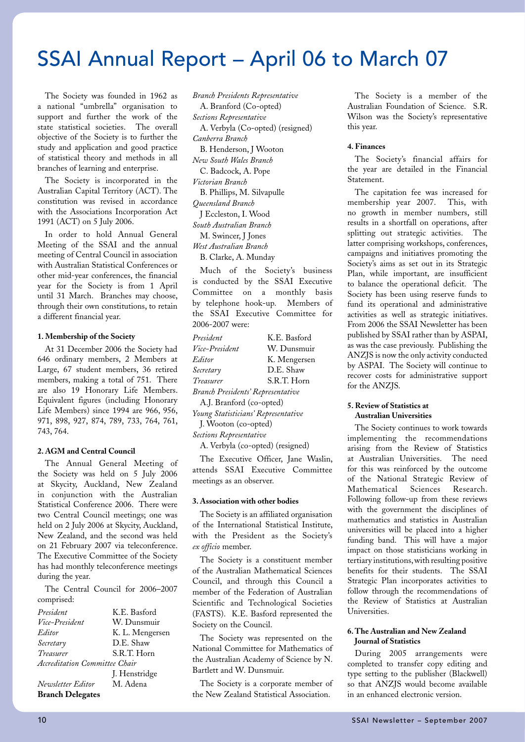### SSAI Annual Report – April 06 to March 07

The Society was founded in 1962 as a national "umbrella" organisation to support and further the work of the state statistical societies. The overall objective of the Society is to further the study and application and good practice of statistical theory and methods in all branches of learning and enterprise.

The Society is incorporated in the Australian Capital Territory (ACT). The constitution was revised in accordance with the Associations Incorporation Act 1991 (ACT) on 5 July 2006.

In order to hold Annual General Meeting of the SSAI and the annual meeting of Central Council in association with Australian Statistical Conferences or other mid-year conferences, the financial year for the Society is from 1 April until 31 March. Branches may choose, through their own constitutions, to retain a different financial year.

#### **1. Membership of the Society**

At 31 December 2006 the Society had 646 ordinary members, 2 Members at Large, 67 student members, 36 retired members, making a total of 751. There are also 19 Honorary Life Members. Equivalent figures (including Honorary Life Members) since 1994 are 966, 956, 971, 898, 927, 874, 789, 733, 764, 761, 743, 764.

#### **2. AGM and Central Council**

The Annual General Meeting of the Society was held on 5 July 2006 at Skycity, Auckland, New Zealand in conjunction with the Australian Statistical Conference 2006. There were two Central Council meetings; one was held on 2 July 2006 at Skycity, Auckland, New Zealand, and the second was held on 21 February 2007 via teleconference. The Executive Committee of the Society has had monthly teleconference meetings during the year.

The Central Council for 2006–2007 comprised:

| President                     | K.E. Basford    |
|-------------------------------|-----------------|
| Vice-President                | W. Dunsmuir     |
| Editor                        | K. L. Mengersen |
| Secretary                     | D.E. Shaw       |
| Treasurer                     | S.R.T. Horn     |
| Accreditation Committee Chair |                 |
|                               | J. Henstridge   |
| Newsletter Editor             | M. Adena        |
| <b>Branch Delegates</b>       |                 |

*Branch Presidents Representative* A. Branford (Co-opted) *Sections Representative* A. Verbyla (Co-opted) (resigned) *Canberra Branch* B. Henderson, J Wooton *New South Wales Branch* C. Badcock, A. Pope *Victorian Branch*  B. Phillips, M. Silvapulle *Queensland Branch*  J Eccleston, I. Wood *South Australian Branch* M. Swincer, J Jones *West Australian Branch*  B. Clarke, A. Munday

Much of the Society's business is conducted by the SSAI Executive Committee on a monthly basis by telephone hook-up. Members of the SSAI Executive Committee for 2006-2007 were:

| President                           | K.E. Basford |  |  |  |  |
|-------------------------------------|--------------|--|--|--|--|
| Vice-President                      | W. Dunsmuir  |  |  |  |  |
| Editor                              | K. Mengersen |  |  |  |  |
| Secretary                           | D.E. Shaw    |  |  |  |  |
| Treasurer                           | S.R.T. Horn  |  |  |  |  |
| Branch Presidents' Representative   |              |  |  |  |  |
| A.J. Branford (co-opted)            |              |  |  |  |  |
| Young Statisticians' Representative |              |  |  |  |  |
| J. Wooton (co-opted)                |              |  |  |  |  |
| Sections Representative             |              |  |  |  |  |

A. Verbyla (co-opted) (resigned)

The Executive Officer, Jane Waslin, attends SSAI Executive Committee meetings as an observer.

#### **3. Association with other bodies**

The Society is an affiliated organisation of the International Statistical Institute, with the President as the Society's *ex officio* member.

The Society is a constituent member of the Australian Mathematical Sciences Council, and through this Council a member of the Federation of Australian Scientific and Technological Societies (FASTS). K.E. Basford represented the Society on the Council.

The Society was represented on the National Committee for Mathematics of the Australian Academy of Science by N. Bartlett and W. Dunsmuir.

The Society is a corporate member of the New Zealand Statistical Association.

The Society is a member of the Australian Foundation of Science. S.R. Wilson was the Society's representative this year.

#### **4. Finances**

The Society's financial affairs for the year are detailed in the Financial Statement.

The capitation fee was increased for membership year 2007. This, with no growth in member numbers, still results in a shortfall on operations, after splitting out strategic activities. The latter comprising workshops, conferences, campaigns and initiatives promoting the Society's aims as set out in its Strategic Plan, while important, are insufficient to balance the operational deficit. The Society has been using reserve funds to fund its operational and administrative activities as well as strategic initiatives. From 2006 the SSAI Newsletter has been published by SSAI rather than by ASPAI, as was the case previously. Publishing the ANZJS is now the only activity conducted by ASPAI. The Society will continue to recover costs for administrative support for the ANZJS.

#### **5. Review of Statistics at Australian Universities**

The Society continues to work towards implementing the recommendations arising from the Review of Statistics at Australian Universities. The need for this was reinforced by the outcome of the National Strategic Review of Mathematical Sciences Research. Following follow-up from these reviews with the government the disciplines of mathematics and statistics in Australian universities will be placed into a higher funding band. This will have a major impact on those statisticians working in tertiary institutions, with resulting positive benefits for their students. The SSAI Strategic Plan incorporates activities to follow through the recommendations of the Review of Statistics at Australian Universities.

#### **6. The Australian and New Zealand Journal of Statistics**

During 2005 arrangements were completed to transfer copy editing and type setting to the publisher (Blackwell) so that ANZJS would become available in an enhanced electronic version.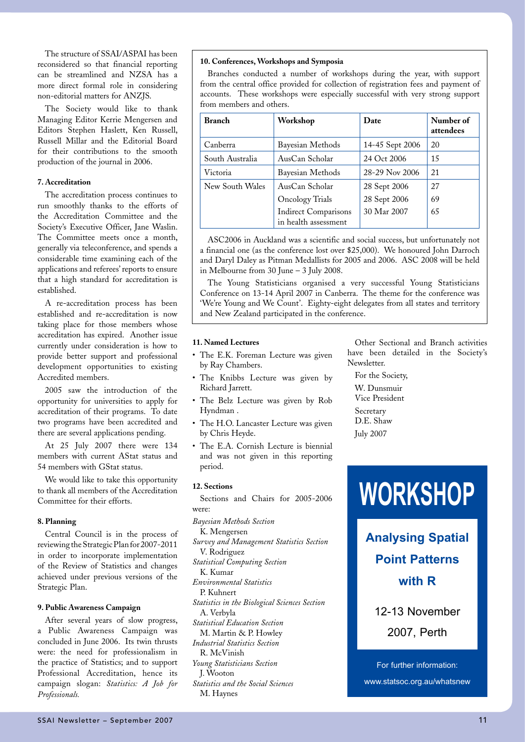The structure of SSAI/ASPAI has been reconsidered so that financial reporting can be streamlined and NZSA has a more direct formal role in considering non-editorial matters for ANZJS.

The Society would like to thank Managing Editor Kerrie Mengersen and Editors Stephen Haslett, Ken Russell, Russell Millar and the Editorial Board for their contributions to the smooth production of the journal in 2006.

#### **7. Accreditation**

The accreditation process continues to run smoothly thanks to the efforts of the Accreditation Committee and the Society's Executive Officer, Jane Waslin. The Committee meets once a month, generally via teleconference, and spends a considerable time examining each of the applications and referees' reports to ensure that a high standard for accreditation is established.

A re-accreditation process has been established and re-accreditation is now taking place for those members whose accreditation has expired. Another issue currently under consideration is how to provide better support and professional development opportunities to existing Accredited members.

2005 saw the introduction of the opportunity for universities to apply for accreditation of their programs. To date two programs have been accredited and there are several applications pending.

At 25 July 2007 there were 134 members with current AStat status and 54 members with GStat status.

We would like to take this opportunity to thank all members of the Accreditation Committee for their efforts.

#### **8. Planning**

Central Council is in the process of reviewing the Strategic Plan for 2007-2011 in order to incorporate implementation of the Review of Statistics and changes achieved under previous versions of the Strategic Plan.

#### **9. Public Awareness Campaign**

After several years of slow progress, a Public Awareness Campaign was concluded in June 2006. Its twin thrusts were: the need for professionalism in the practice of Statistics; and to support Professional Accreditation, hence its campaign slogan: *Statistics: A Job for Professionals.* 

#### **10. Conferences, Workshops and Symposia**

Branches conducted a number of workshops during the year, with support from the central office provided for collection of registration fees and payment of accounts. These workshops were especially successful with very strong support from members and others.

| <b>Branch</b>   | Workshop                                            | Date            | Number of<br>attendees |
|-----------------|-----------------------------------------------------|-----------------|------------------------|
| Canberra        | Bayesian Methods                                    | 14-45 Sept 2006 | 20                     |
| South Australia | AusCan Scholar                                      | 24 Oct 2006     | 15                     |
| Victoria        | Bayesian Methods                                    | 28-29 Nov 2006  | 21                     |
| New South Wales | AusCan Scholar                                      | 28 Sept 2006    | 27                     |
|                 | <b>Oncology Trials</b>                              | 28 Sept 2006    | 69                     |
|                 | <b>Indirect Comparisons</b><br>in health assessment | 30 Mar 2007     | 65                     |

ASC2006 in Auckland was a scientific and social success, but unfortunately not a financial one (as the conference lost over \$25,000). We honoured John Darroch and Daryl Daley as Pitman Medallists for 2005 and 2006. ASC 2008 will be held in Melbourne from 30 June – 3 July 2008.

The Young Statisticians organised a very successful Young Statisticians Conference on 13-14 April 2007 in Canberra. The theme for the conference was 'We're Young and We Count'. Eighty-eight delegates from all states and territory and New Zealand participated in the conference.

#### **11. Named Lectures**

- The E.K. Foreman Lecture was given by Ray Chambers.
- The Knibbs Lecture was given by Richard Jarrett.
- The Belz Lecture was given by Rob Hyndman .
- The H.O. Lancaster Lecture was given by Chris Heyde.
- The E.A. Cornish Lecture is biennial and was not given in this reporting period.

#### **12. Sections**

Sections and Chairs for 2005-2006 were:

*Bayesian Methods Section* K. Mengersen *Survey and Management Statistics Section* V. Rodriguez *Statistical Computing Section*  K. Kumar *Environmental Statistics*  P. Kuhnert *Statistics in the Biological Sciences Section* A. Verbyla *Statistical Education Section* M. Martin & P. Howley *Industrial Statistics Section* R. McVinish *Young Statisticians Section*  J. Wooton *Statistics and the Social Sciences* M. Haynes

Other Sectional and Branch activities have been detailed in the Society's Newsletter.

For the Society, W. Dunsmuir Vice President **Secretary** D.E. Shaw July 2007

## **WORKSHOP**

**Analysing Spatial Point Patterns with R**

For further information: www.statsoc.org.au/whatsnew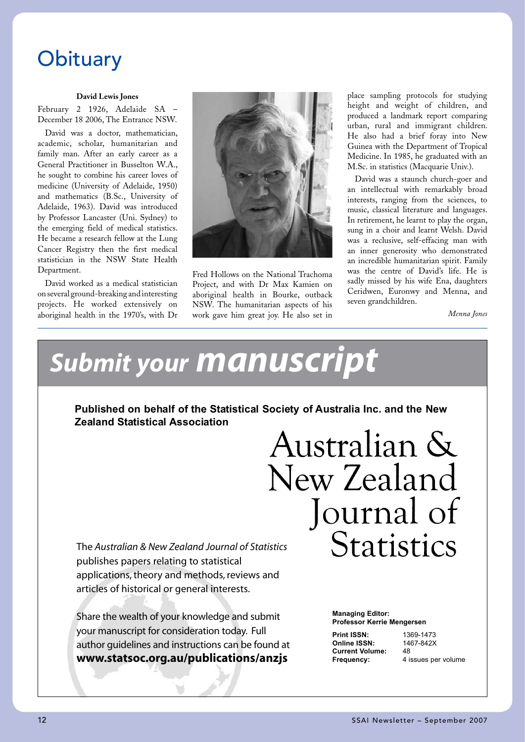### **Obituary**

#### **David Lewis Jones**

February 2 1926, Adelaide SA – December 18 2006, The Entrance NSW.

David was a doctor, mathematician, academic, scholar, humanitarian and family man. After an early career as a General Practitioner in Busselton W.A., he sought to combine his career loves of medicine (University of Adelaide, 1950) and mathematics (B.Sc., University of Adelaide, 1963). David was introduced by Professor Lancaster (Uni. Sydney) to the emerging field of medical statistics. He became a research fellow at the Lung Cancer Registry then the first medical statistician in the NSW State Health Department.

David worked as a medical statistician on several ground-breaking and interesting projects. He worked extensively on aboriginal health in the 1970's, with Dr



Fred Hollows on the National Trachoma Project, and with Dr Max Kamien on aboriginal health in Bourke, outback NSW. The humanitarian aspects of his work gave him great joy. He also set in place sampling protocols for studying height and weight of children, and produced a landmark report comparing urban, rural and immigrant children. He also had a brief foray into New Guinea with the Department of Tropical Medicine. In 1985, he graduated with an M.Sc. in statistics (Macquarie Univ.).

David was a staunch church-goer and an intellectual with remarkably broad interests, ranging from the sciences, to music, classical literature and languages. In retirement, he learnt to play the organ, sung in a choir and learnt Welsh. David was a reclusive, self-effacing man with an inner generosity who demonstrated an incredible humanitarian spirit. Family was the centre of David's life. He is sadly missed by his wife Ena, daughters Ceridwen, Euronwy and Menna, and seven grandchildren.

*Menna Jones*

## *Submit your manuscript*

**Published on behalf of the Statistical Society of Australia Inc. and the New Zealand Statistical Association**

> Australian & New Zealand Journal of **Statistics**

The *Australian & New Zealand Journal of Statistics* publishes papers relating to statistical applications, theory and methods, reviews and articles of historical or general interests.

Share the wealth of your knowledge and submit your manuscript for consideration today. Full author guidelines and instructions can be found at **www.statsoc.org.au/publications/anzjs**

### **Managing Editor: Professor Kerrie Mengersen**

**Print ISSN:** 1369-1473<br> **Online ISSN:** 1467-842X **Online ISSN:** 146<br>Current Volume: 48 **Current Volume:**<br>Frequency:

**4** issues per volume

*Submit your manuscript*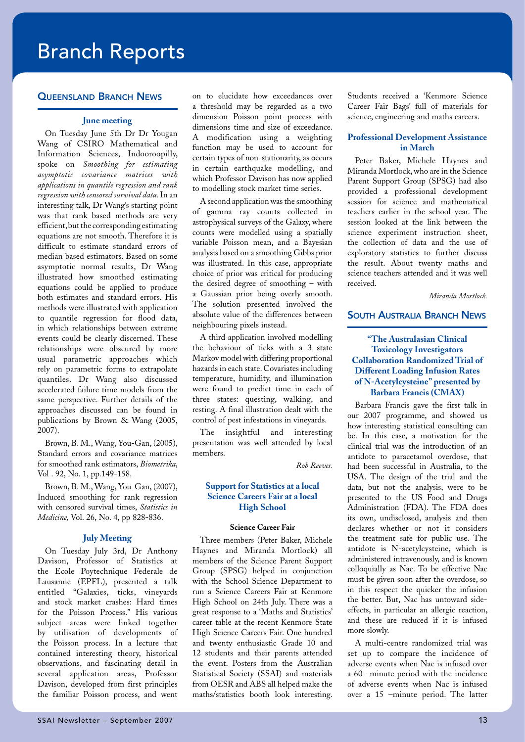### Branch Reports

#### **QUEENSLAND BRANCH NEWS**

#### **June meeting**

On Tuesday June 5th Dr Dr Yougan Wang of CSIRO Mathematical and Information Sciences, Indooroopilly, spoke on *Smoothing for estimating asymptotic covariance matrices with applications in quantile regression and rank regression with censored survival data.* In an interesting talk, Dr Wang's starting point was that rank based methods are very efficient, but the corresponding estimating equations are not smooth. Therefore it is difficult to estimate standard errors of median based estimators. Based on some asymptotic normal results, Dr Wang illustrated how smoothed estimating equations could be applied to produce both estimates and standard errors. His methods were illustrated with application to quantile regression for flood data, in which relationships between extreme events could be clearly discerned. These relationships were obscured by more usual parametric approaches which rely on parametric forms to extrapolate quantiles. Dr Wang also discussed accelerated failure time models from the same perspective. Further details of the approaches discussed can be found in publications by Brown & Wang (2005, 2007).

Brown, B. M., Wang, You-Gan, (2005), Standard errors and covariance matrices for smoothed rank estimators, *Biometrika*, Vol . 92, No. 1, pp.149-158.

Brown, B. M., Wang, You-Gan, (2007), Induced smoothing for rank regression with censored survival times, *Statistics in Medicine,* Vol. 26, No. 4, pp 828-836.

#### **July Meeting**

On Tuesday July 3rd, Dr Anthony Davison, Professor of Statistics at the Ecole Poytechnique Federale de Lausanne (EPFL), presented a talk entitled "Galaxies, ticks, vineyards and stock market crashes: Hard times for the Poisson Process." His various subject areas were linked together by utilisation of developments of the Poisson process. In a lecture that contained interesting theory, historical observations, and fascinating detail in several application areas, Professor Davison, developed from first principles the familiar Poisson process, and went on to elucidate how exceedances over a threshold may be regarded as a two dimension Poisson point process with dimensions time and size of exceedance. A modification using a weighting function may be used to account for certain types of non-stationarity, as occurs in certain earthquake modelling, and which Professor Davison has now applied to modelling stock market time series.

A second application was the smoothing of gamma ray counts collected in astrophysical surveys of the Galaxy, where counts were modelled using a spatially variable Poisson mean, and a Bayesian analysis based on a smoothing Gibbs prior was illustrated. In this case, appropriate choice of prior was critical for producing the desired degree of smoothing – with a Gaussian prior being overly smooth. The solution presented involved the absolute value of the differences between neighbouring pixels instead.

A third application involved modelling the behaviour of ticks with a 3 state Markov model with differing proportional hazards in each state. Covariates including temperature, humidity, and illumination were found to predict time in each of three states: questing, walking, and resting. A final illustration dealt with the control of pest infestations in vineyards.

The insightful and interesting presentation was well attended by local members.

*Rob Reeves.*

#### **Support for Statistics at a local Science Careers Fair at a local High School**

#### **Science Career Fair**

Three members (Peter Baker, Michele Haynes and Miranda Mortlock) all members of the Science Parent Support Group (SPSG) helped in conjunction with the School Science Department to run a Science Careers Fair at Kenmore High School on 24th July. There was a great response to a 'Maths and Statistics' career table at the recent Kenmore State High Science Careers Fair. One hundred and twenty enthusiastic Grade 10 and 12 students and their parents attended the event. Posters from the Australian Statistical Society (SSAI) and materials from OESR and ABS all helped make the maths/statistics booth look interesting.

Students received a 'Kenmore Science Career Fair Bags' full of materials for science, engineering and maths careers.

#### **Professional Development Assistance in March**

Peter Baker, Michele Haynes and Miranda Mortlock, who are in the Science Parent Support Group (SPSG) had also provided a professional development session for science and mathematical teachers earlier in the school year. The session looked at the link between the science experiment instruction sheet, the collection of data and the use of exploratory statistics to further discuss the result. About twenty maths and science teachers attended and it was well received.

*Miranda Mortlock.*

#### **SOUTH AUSTRALIA BRANCH NEWS**

#### **"The Australasian Clinical Toxicology Investigators Collaboration Randomized Trial of Different Loading Infusion Rates of N-Acetylcysteine" presented by Barbara Francis (CMAX)**

Barbara Francis gave the first talk in our 2007 programme, and showed us how interesting statistical consulting can be. In this case, a motivation for the clinical trial was the introduction of an antidote to paracetamol overdose, that had been successful in Australia, to the USA. The design of the trial and the data, but not the analysis, were to be presented to the US Food and Drugs Administration (FDA). The FDA does its own, undisclosed, analysis and then declares whether or not it considers the treatment safe for public use. The antidote is N-acetylcysteine, which is administered intravenously, and is known colloquially as Nac. To be effective Nac must be given soon after the overdose, so in this respect the quicker the infusion the better. But, Nac has untoward sideeffects, in particular an allergic reaction, and these are reduced if it is infused more slowly.

A multi-centre randomized trial was set up to compare the incidence of adverse events when Nac is infused over a 60 –minute period with the incidence of adverse events when Nac is infused over a 15 –minute period. The latter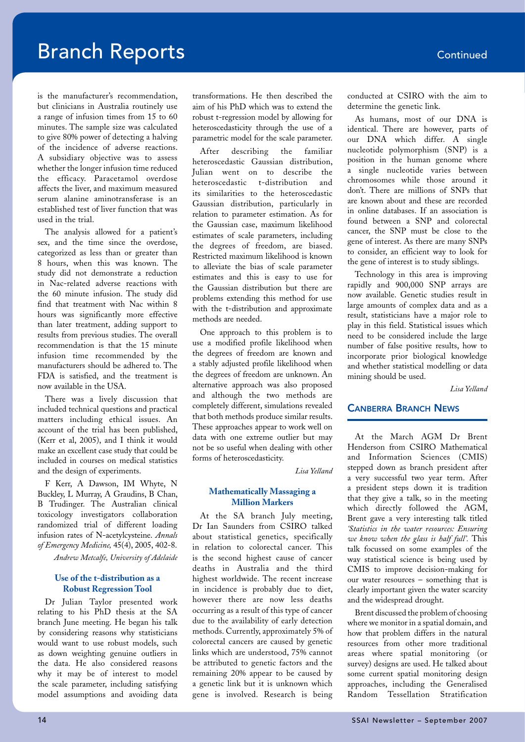is the manufacturer's recommendation, but clinicians in Australia routinely use a range of infusion times from 15 to 60 minutes. The sample size was calculated to give 80% power of detecting a halving of the incidence of adverse reactions. A subsidiary objective was to assess whether the longer infusion time reduced the efficacy. Paracetamol overdose affects the liver, and maximum measured serum alanine aminotransferase is an established test of liver function that was used in the trial.

The analysis allowed for a patient's sex, and the time since the overdose, categorized as less than or greater than 8 hours, when this was known. The study did not demonstrate a reduction in Nac-related adverse reactions with the 60 minute infusion. The study did find that treatment with Nac within 8 hours was significantly more effective than later treatment, adding support to results from previous studies. The overall recommendation is that the 15 minute infusion time recommended by the manufacturers should be adhered to. The FDA is satisfied, and the treatment is now available in the USA.

There was a lively discussion that included technical questions and practical matters including ethical issues. An account of the trial has been published, (Kerr et al, 2005), and I think it would make an excellent case study that could be included in courses on medical statistics and the design of experiments.

F Kerr, A Dawson, IM Whyte, N Buckley, L Murray, A Graudins, B Chan, B Trudinger. The Australian clinical toxicology investigators collaboration randomized trial of different loading infusion rates of N-acetylcysteine. *Annals of Emergency Medicine,* 45(4), 2005, 402-8.

*Andrew Metcalfe, University of Adelaide*

#### **Use of the t-distribution as a Robust Regression Tool**

Dr Julian Taylor presented work relating to his PhD thesis at the SA branch June meeting. He began his talk by considering reasons why statisticians would want to use robust models, such as down weighting genuine outliers in the data. He also considered reasons why it may be of interest to model the scale parameter, including satisfying model assumptions and avoiding data

transformations. He then described the aim of his PhD which was to extend the robust t-regression model by allowing for heteroscedasticity through the use of a parametric model for the scale parameter.

After describing the familiar heteroscedastic Gaussian distribution, Julian went on to describe the heteroscedastic t-distribution and its similarities to the heteroscedastic Gaussian distribution, particularly in relation to parameter estimation. As for the Gaussian case, maximum likelihood estimates of scale parameters, including the degrees of freedom, are biased. Restricted maximum likelihood is known to alleviate the bias of scale parameter estimates and this is easy to use for the Gaussian distribution but there are problems extending this method for use with the t-distribution and approximate methods are needed.

One approach to this problem is to use a modified profile likelihood when the degrees of freedom are known and a stably adjusted profile likelihood when the degrees of freedom are unknown. An alternative approach was also proposed and although the two methods are completely different, simulations revealed that both methods produce similar results. These approaches appear to work well on data with one extreme outlier but may not be so useful when dealing with other forms of heteroscedasticity.

*Lisa Yelland*

#### **Mathematically Massaging a Million Markers**

At the SA branch July meeting, Dr Ian Saunders from CSIRO talked about statistical genetics, specifically in relation to colorectal cancer. This is the second highest cause of cancer deaths in Australia and the third highest worldwide. The recent increase in incidence is probably due to diet, however there are now less deaths occurring as a result of this type of cancer due to the availability of early detection methods. Currently, approximately 5% of colorectal cancers are caused by genetic links which are understood, 75% cannot be attributed to genetic factors and the remaining 20% appear to be caused by a genetic link but it is unknown which gene is involved. Research is being conducted at CSIRO with the aim to determine the genetic link.

As humans, most of our DNA is identical. There are however, parts of our DNA which differ. A single nucleotide polymorphism (SNP) is a position in the human genome where a single nucleotide varies between chromosomes while those around it don't. There are millions of SNPs that are known about and these are recorded in online databases. If an association is found between a SNP and colorectal cancer, the SNP must be close to the gene of interest. As there are many SNPs to consider, an efficient way to look for the gene of interest is to study siblings.

Technology in this area is improving rapidly and 900,000 SNP arrays are now available. Genetic studies result in large amounts of complex data and as a result, statisticians have a major role to play in this field. Statistical issues which need to be considered include the large number of false positive results, how to incorporate prior biological knowledge and whether statistical modelling or data mining should be used.

*Lisa Yelland*

#### Canberra Branch News

At the March AGM Dr Brent Henderson from CSIRO Mathematical and Information Sciences (CMIS) stepped down as branch president after a very successful two year term. After a president steps down it is tradition that they give a talk, so in the meeting which directly followed the AGM, Brent gave a very interesting talk titled *'Statistics in the water resources: Ensuring we know when the glass is half full'.* This talk focussed on some examples of the way statistical science is being used by CMIS to improve decision-making for our water resources – something that is clearly important given the water scarcity and the widespread drought.

Brent discussed the problem of choosing where we monitor in a spatial domain, and how that problem differs in the natural resources from other more traditional areas where spatial monitoring (or survey) designs are used. He talked about some current spatial monitoring design approaches, including the Generalised Random Tessellation Stratification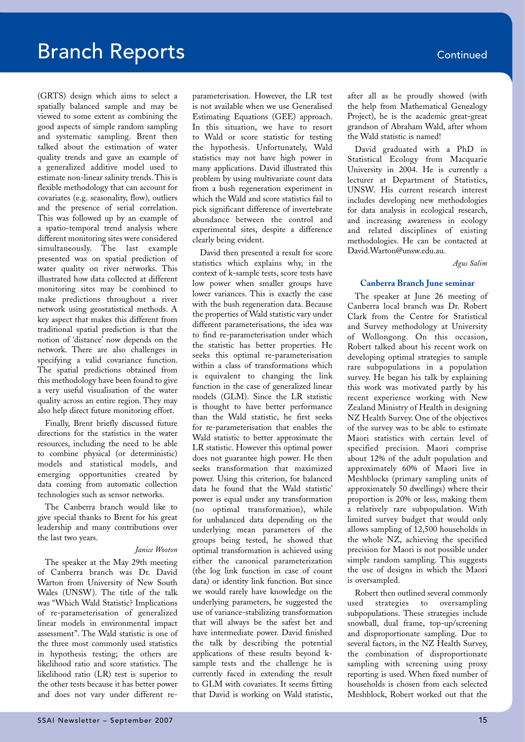(GRTS) design which aims to select a spatially balanced sample and may be viewed to some extent as combining the good aspects of simple random sampling and systematic sampling. Brent then talked about the estimation of water quality trends and gave an example of a generalized additive model used to estimate non-linear salinity trends. This is flexible methodology that can account for covariates (e.g. seasonality, flow), outliers and the presence of serial correlation. This was followed up by an example of a spatio-temporal trend analysis where different monitoring sites were considered simultaneously. The last example presented was on spatial prediction of water quality on river networks. This illustrated how data collected at different monitoring sites may be combined to make predictions throughout a river network using geostatistical methods. A key aspect that makes this different from traditional spatial prediction is that the notion of 'distance' now depends on the network. There are also challenges in specifying a valid covariance function. The spatial predictions obtained from this methodology have been found to give a very useful visualisation of the water quality across an entire region. They may also help direct future monitoring effort.

Finally, Brent briefly discussed future directions for the statistics in the water resources, including the need to be able to combine physical (or deterministic) models and statistical models, and emerging opportunities created by data coming from automatic collection technologies such as sensor networks.

The Canberra branch would like to give special thanks to Brent for his great leadership and many contributions over the last two years.

#### *Janice Wooton*

The speaker at the May 29th meeting of Canberra branch was Dr. David Warton from University of New South Wales (UNSW). The title of the talk was "Which Wald Statistic? Implications of re-parameterisation of generalized linear models in environmental impact assessment". The Wald statistic is one of the three most commonly used statistics in hypothesis testing; the others are likelihood ratio and score statistics. The likelihood ratio (LR) test is superior to the other tests because it has better power and does not vary under different re-

parameterisation. However, the LR test is not available when we use Generalised Estimating Equations (GEE) approach. In this situation, we have to resort to Wald or score statistic for testing the hypothesis. Unfortunately, Wald statistics may not have high power in many applications. David illustrated this problem by using multivariate count data from a bush regeneration experiment in which the Wald and score statistics fail to pick significant difference of invertebrate abundance between the control and experimental sites, despite a difference clearly being evident.

David then presented a result for score statistics which explains why, in the context of k-sample tests, score tests have low power when smaller groups have lower variances. This is exactly the case with the bush regeneration data. Because the properties of Wald statistic vary under different parameterisations, the idea was to find re-parameterisation under which the statistic has better properties. He seeks this optimal re-parameterisation within a class of transformations which is equivalent to changing the link function in the case of generalized linear models (GLM). Since the LR statistic is thought to have better performance than the Wald statistic, he first seeks for re-parameterisation that enables the Wald statistic to better approximate the LR statistic. However this optimal power does not guarantee high power. He then seeks transformation that maximized power. Using this criterion, for balanced data he found that the Wald statistic' power is equal under any transformation (no optimal transformation), while for unbalanced data depending on the underlying mean parameters of the groups being tested, he showed that optimal transformation is achieved using either the canonical parameterization (the log link function in case of count data) or identity link function. But since we would rarely have knowledge on the underlying parameters, he suggested the use of variance-stabilizing transformation that will always be the safest bet and have intermediate power. David finished the talk by describing the potential applications of these results beyond ksample tests and the challenge he is currently faced in extending the result to GLM with covariates. It seems fitting that David is working on Wald statistic,

after all as he proudly showed (with the help from Mathematical Genealogy Project), he is the academic great-great grandson of Abraham Wald, after whom the Wald statistic is named!

David graduated with a PhD in Statistical Ecology from Macquarie University in 2004. He is currently a lecturer at Department of Statistics, UNSW. His current research interest includes developing new methodologies for data analysis in ecological research, and increasing awareness in ecology and related disciplines of existing methodologies. He can be contacted at David.Warton@unsw.edu.au.

*Agus Salim*

#### **Canberra Branch June seminar**

The speaker at June 26 meeting of Canberra local branch was Dr. Robert Clark from the Centre for Statistical and Survey methodology at University of Wollongong. On this occasion, Robert talked about his recent work on developing optimal strategies to sample rare subpopulations in a population survey. He began his talk by explaining this work was motivated partly by his recent experience working with New Zealand Ministry of Health in designing NZ Health Survey. One of the objectives of the survey was to be able to estimate Maori statistics with certain level of specified precision. Maori comprise about 12% of the adult population and approximately 60% of Maori live in Meshblocks (primary sampling units of approximately 50 dwellings) where their proportion is 20% or less, making them a relatively rare subpopulation. With limited survey budget that would only allows sampling of 12,500 households in the whole NZ, achieving the specified precision for Maori is not possible under simple random sampling. This suggests the use of designs in which the Maori is oversampled.

Robert then outlined several commonly used strategies to oversampling subpopulations. These strategies include snowball, dual frame, top-up/screening and disproportionate sampling. Due to several factors, in the NZ Health Survey, the combination of disproportionate sampling with screening using proxy reporting is used. When fixed number of households is chosen from each selected Meshblock, Robert worked out that the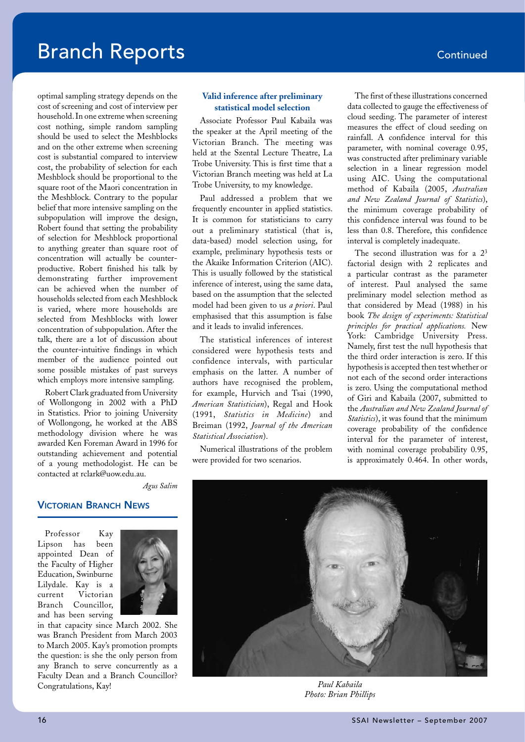optimal sampling strategy depends on the cost of screening and cost of interview per household. In one extreme when screening cost nothing, simple random sampling should be used to select the Meshblocks and on the other extreme when screening cost is substantial compared to interview cost, the probability of selection for each Meshblock should be proportional to the square root of the Maori concentration in the Meshblock. Contrary to the popular belief that more intensive sampling on the subpopulation will improve the design, Robert found that setting the probability of selection for Meshblock proportional to anything greater than square root of concentration will actually be counterproductive. Robert finished his talk by demonstrating further improvement can be achieved when the number of households selected from each Meshblock is varied, where more households are selected from Meshblocks with lower concentration of subpopulation. After the talk, there are a lot of discussion about the counter-intuitive findings in which member of the audience pointed out some possible mistakes of past surveys which employs more intensive sampling.

Robert Clark graduated from University of Wollongong in 2002 with a PhD in Statistics. Prior to joining University of Wollongong, he worked at the ABS methodology division where he was awarded Ken Foreman Award in 1996 for outstanding achievement and potential of a young methodologist. He can be contacted at rclark@uow.edu.au.

#### **Valid inference after preliminary statistical model selection**

Associate Professor Paul Kabaila was the speaker at the April meeting of the Victorian Branch. The meeting was held at the Szental Lecture Theatre, La Trobe University. This is first time that a Victorian Branch meeting was held at La Trobe University, to my knowledge.

Paul addressed a problem that we frequently encounter in applied statistics. It is common for statisticians to carry out a preliminary statistical (that is, data-based) model selection using, for example, preliminary hypothesis tests or the Akaike Information Criterion (AIC). This is usually followed by the statistical inference of interest, using the same data, based on the assumption that the selected model had been given to us *a priori*. Paul emphasised that this assumption is false and it leads to invalid inferences.

The statistical inferences of interest considered were hypothesis tests and confidence intervals, with particular emphasis on the latter. A number of authors have recognised the problem, for example, Hurvich and Tsai (1990, *American Statistician*), Regal and Hook (1991, *Statistics in Medicine*) and Breiman (1992, *Journal of the American Statistical Association*).

Numerical illustrations of the problem were provided for two scenarios.

The first of these illustrations concerned data collected to gauge the effectiveness of cloud seeding. The parameter of interest measures the effect of cloud seeding on rainfall. A confidence interval for this parameter, with nominal coverage 0.95, was constructed after preliminary variable selection in a linear regression model using AIC. Using the computational method of Kabaila (2005, *Australian and New Zealand Journal of Statistics*), the minimum coverage probability of this confidence interval was found to be less than 0.8. Therefore, this confidence interval is completely inadequate.

The second illustration was for a  $2^3$ factorial design with 2 replicates and a particular contrast as the parameter of interest. Paul analysed the same preliminary model selection method as that considered by Mead (1988) in his book *The design of experiments: Statistical principles for practical applications.* New York: Cambridge University Press. Namely, first test the null hypothesis that the third order interaction is zero. If this hypothesis is accepted then test whether or not each of the second order interactions is zero. Using the computational method of Giri and Kabaila (2007, submitted to the *Australian and New Zealand Journal of Statistics*), it was found that the minimum coverage probability of the confidence interval for the parameter of interest, with nominal coverage probability 0.95, is approximately 0.464. In other words,



*Photo: Brian Phillips*

*Agus Salim*

#### Victorian Branch News

Professor Kay Lipson has been appointed Dean of the Faculty of Higher Education, Swinburne Lilydale. Kay is a current Victorian Branch Councillor, and has been serving



in that capacity since March 2002. She was Branch President from March 2003 to March 2005. Kay's promotion prompts the question: is she the only person from any Branch to serve concurrently as a Faculty Dean and a Branch Councillor? Congratulations, Kay! *Paul Kabaila*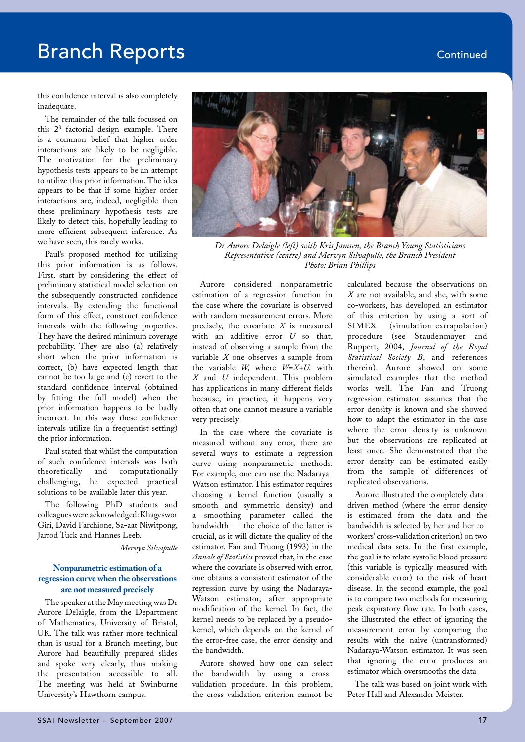this confidence interval is also completely inadequate.

The remainder of the talk focussed on this 23 factorial design example. There is a common belief that higher order interactions are likely to be negligible. The motivation for the preliminary hypothesis tests appears to be an attempt to utilize this prior information. The idea appears to be that if some higher order interactions are, indeed, negligible then these preliminary hypothesis tests are likely to detect this, hopefully leading to more efficient subsequent inference. As we have seen, this rarely works.

Paul's proposed method for utilizing this prior information is as follows. First, start by considering the effect of preliminary statistical model selection on the subsequently constructed confidence intervals. By extending the functional form of this effect, construct confidence intervals with the following properties. They have the desired minimum coverage probability. They are also (a) relatively short when the prior information is correct, (b) have expected length that cannot be too large and (c) revert to the standard confidence interval (obtained by fitting the full model) when the prior information happens to be badly incorrect. In this way these confidence intervals utilize (in a frequentist setting) the prior information.

Paul stated that whilst the computation of such confidence intervals was both theoretically and computationally challenging, he expected practical solutions to be available later this year.

The following PhD students and colleagues were acknowledged: Khageswor Giri, David Farchione, Sa-aat Niwitpong, Jarrod Tuck and Hannes Leeb.

#### *Mervyn Silvapulle*

#### **Nonparametric estimation of a regression curve when the observations are not measured precisely**

The speaker at the May meeting was Dr Aurore Delaigle, from the Department of Mathematics, University of Bristol, UK. The talk was rather more technical than is usual for a Branch meeting, but Aurore had beautifully prepared slides and spoke very clearly, thus making the presentation accessible to all. The meeting was held at Swinburne University's Hawthorn campus.



*Dr Aurore Delaigle (left) with Kris Jamsen, the Branch Young Statisticians Representative (centre) and Mervyn Silvapulle, the Branch President Photo: Brian Phillips*

Aurore considered nonparametric estimation of a regression function in the case where the covariate is observed with random measurement errors. More precisely, the covariate *X* is measured with an additive error *U* so that, instead of observing a sample from the variable *X* one observes a sample from the variable *W,* where *W=X+U,* with *X* and *U* independent. This problem has applications in many different fields because, in practice, it happens very often that one cannot measure a variable very precisely.

In the case where the covariate is measured without any error, there are several ways to estimate a regression curve using nonparametric methods. For example, one can use the Nadaraya-Watson estimator. This estimator requires choosing a kernel function (usually a smooth and symmetric density) and a smoothing parameter called the bandwidth — the choice of the latter is crucial, as it will dictate the quality of the estimator. Fan and Truong (1993) in the *Annals of Statistics* proved that, in the case where the covariate is observed with error, one obtains a consistent estimator of the regression curve by using the Nadaraya-Watson estimator, after appropriate modification of the kernel. In fact, the kernel needs to be replaced by a pseudokernel, which depends on the kernel of the error-free case, the error density and the bandwidth.

Aurore showed how one can select the bandwidth by using a crossvalidation procedure. In this problem, the cross-validation criterion cannot be

calculated because the observations on *X* are not available, and she, with some co-workers, has developed an estimator of this criterion by using a sort of SIMEX (simulation-extrapolation) procedure (see Staudenmayer and Ruppert, 2004, *Journal of the Royal Statistical Society B*, and references therein). Aurore showed on some simulated examples that the method works well. The Fan and Truong regression estimator assumes that the error density is known and she showed how to adapt the estimator in the case where the error density is unknown but the observations are replicated at least once. She demonstrated that the error density can be estimated easily from the sample of differences of replicated observations.

Aurore illustrated the completely datadriven method (where the error density is estimated from the data and the bandwidth is selected by her and her coworkers' cross-validation criterion) on two medical data sets. In the first example, the goal is to relate systolic blood pressure (this variable is typically measured with considerable error) to the risk of heart disease. In the second example, the goal is to compare two methods for measuring peak expiratory flow rate. In both cases, she illustrated the effect of ignoring the measurement error by comparing the results with the naive (untransformed) Nadaraya-Watson estimator. It was seen that ignoring the error produces an estimator which oversmooths the data.

The talk was based on joint work with Peter Hall and Alexander Meister.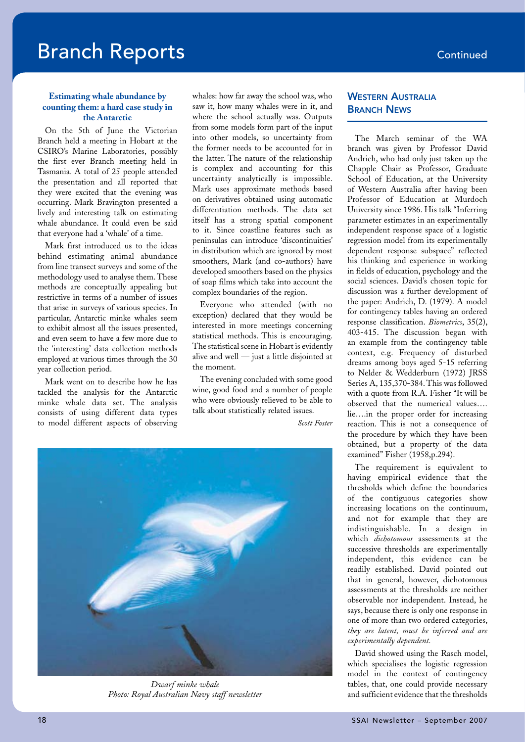#### **Estimating whale abundance by counting them: a hard case study in the Antarctic**

On the 5th of June the Victorian Branch held a meeting in Hobart at the CSIRO's Marine Laboratories, possibly the first ever Branch meeting held in Tasmania. A total of 25 people attended the presentation and all reported that they were excited that the evening was occurring. Mark Bravington presented a lively and interesting talk on estimating whale abundance. It could even be said that everyone had a 'whale' of a time.

Mark first introduced us to the ideas behind estimating animal abundance from line transect surveys and some of the methodology used to analyse them. These methods are conceptually appealing but restrictive in terms of a number of issues that arise in surveys of various species. In particular, Antarctic minke whales seem to exhibit almost all the issues presented, and even seem to have a few more due to the 'interesting' data collection methods employed at various times through the 30 year collection period.

Mark went on to describe how he has tackled the analysis for the Antarctic minke whale data set. The analysis consists of using different data types to model different aspects of observing whales: how far away the school was, who saw it, how many whales were in it, and where the school actually was. Outputs from some models form part of the input into other models, so uncertainty from the former needs to be accounted for in the latter. The nature of the relationship is complex and accounting for this uncertainty analytically is impossible. Mark uses approximate methods based on derivatives obtained using automatic differentiation methods. The data set itself has a strong spatial component to it. Since coastline features such as peninsulas can introduce 'discontinuities' in distribution which are ignored by most smoothers, Mark (and co-authors) have developed smoothers based on the physics of soap films which take into account the complex boundaries of the region.

Everyone who attended (with no exception) declared that they would be interested in more meetings concerning statistical methods. This is encouraging. The statistical scene in Hobart is evidently alive and well — just a little disjointed at the moment.

The evening concluded with some good wine, good food and a number of people who were obviously relieved to be able to talk about statistically related issues.

*Scott Foster*



*Dwarf minke whale Photo: Royal Australian Navy staff newsletter*

#### **WESTERN AUSTRALIA BRANCH NEWS**

The March seminar of the WA branch was given by Professor David Andrich, who had only just taken up the Chapple Chair as Professor, Graduate School of Education, at the University of Western Australia after having been Professor of Education at Murdoch University since 1986. His talk "Inferring parameter estimates in an experimentally independent response space of a logistic regression model from its experimentally dependent response subspace" reflected his thinking and experience in working in fields of education, psychology and the social sciences. David's chosen topic for discussion was a further development of the paper: Andrich, D. (1979). A model for contingency tables having an ordered response classification. *Biometrics*, 35(2), 403-415. The discussion began with an example from the contingency table context, e.g. Frequency of disturbed dreams among boys aged 5-15 referring to Nelder & Wedderburn (1972) JRSS Series A, 135,370-384. This was followed with a quote from R.A. Fisher "It will be observed that the numerical values…. lie….in the proper order for increasing reaction. This is not a consequence of the procedure by which they have been obtained, but a property of the data examined" Fisher (1958,p.294).

The requirement is equivalent to having empirical evidence that the thresholds which define the boundaries of the contiguous categories show increasing locations on the continuum, and not for example that they are indistinguishable. In a design in which *dichotomous* assessments at the successive thresholds are experimentally independent, this evidence can be readily established. David pointed out that in general, however, dichotomous assessments at the thresholds are neither observable nor independent. Instead, he says, because there is only one response in one of more than two ordered categories, *they are latent, must be inferred and are experimentally dependent.*

David showed using the Rasch model, which specialises the logistic regression model in the context of contingency tables, that, one could provide necessary and sufficient evidence that the thresholds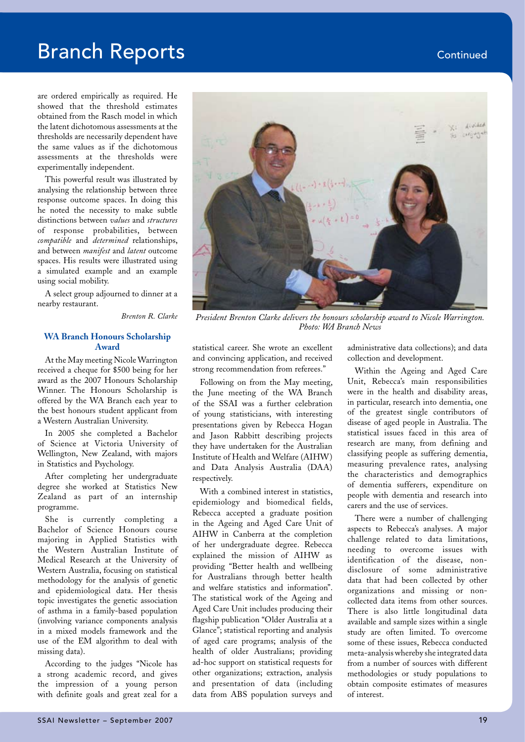are ordered empirically as required. He showed that the threshold estimates obtained from the Rasch model in which the latent dichotomous assessments at the thresholds are necessarily dependent have the same values as if the dichotomous assessments at the thresholds were experimentally independent.

This powerful result was illustrated by analysing the relationship between three response outcome spaces. In doing this he noted the necessity to make subtle distinctions between *values* and *structures* of response probabilities, between *compatible* and *determined* relationships, and between *manifest* and *latent* outcome spaces. His results were illustrated using a simulated example and an example using social mobility.

A select group adjourned to dinner at a nearby restaurant.

*Brenton R. Clarke*

#### **WA Branch Honours Scholarship Award**

At the May meeting Nicole Warrington received a cheque for \$500 being for her award as the 2007 Honours Scholarship Winner. The Honours Scholarship is offered by the WA Branch each year to the best honours student applicant from a Western Australian University.

In 2005 she completed a Bachelor of Science at Victoria University of Wellington, New Zealand, with majors in Statistics and Psychology.

After completing her undergraduate degree she worked at Statistics New Zealand as part of an internship programme.

She is currently completing a Bachelor of Science Honours course majoring in Applied Statistics with the Western Australian Institute of Medical Research at the University of Western Australia, focusing on statistical methodology for the analysis of genetic and epidemiological data. Her thesis topic investigates the genetic association of asthma in a family-based population (involving variance components analysis in a mixed models framework and the use of the EM algorithm to deal with missing data).

According to the judges "Nicole has a strong academic record, and gives the impression of a young person with definite goals and great zeal for a



*President Brenton Clarke delivers the honours scholarship award to Nicole Warrington. Photo: WA Branch News*

statistical career. She wrote an excellent and convincing application, and received strong recommendation from referees."

Following on from the May meeting, the June meeting of the WA Branch of the SSAI was a further celebration of young statisticians, with interesting presentations given by Rebecca Hogan and Jason Rabbitt describing projects they have undertaken for the Australian Institute of Health and Welfare (AIHW) and Data Analysis Australia (DAA) respectively.

With a combined interest in statistics, epidemiology and biomedical fields, Rebecca accepted a graduate position in the Ageing and Aged Care Unit of AIHW in Canberra at the completion of her undergraduate degree. Rebecca explained the mission of AIHW as providing "Better health and wellbeing for Australians through better health and welfare statistics and information". The statistical work of the Ageing and Aged Care Unit includes producing their flagship publication "Older Australia at a Glance"; statistical reporting and analysis of aged care programs; analysis of the health of older Australians; providing ad-hoc support on statistical requests for other organizations; extraction, analysis and presentation of data (including data from ABS population surveys and

administrative data collections); and data collection and development.

Within the Ageing and Aged Care Unit, Rebecca's main responsibilities were in the health and disability areas, in particular, research into dementia, one of the greatest single contributors of disease of aged people in Australia. The statistical issues faced in this area of research are many, from defining and classifying people as suffering dementia, measuring prevalence rates, analysing the characteristics and demographics of dementia sufferers, expenditure on people with dementia and research into carers and the use of services.

There were a number of challenging aspects to Rebecca's analyses. A major challenge related to data limitations, needing to overcome issues with identification of the disease, nondisclosure of some administrative data that had been collected by other organizations and missing or noncollected data items from other sources. There is also little longitudinal data available and sample sizes within a single study are often limited. To overcome some of these issues, Rebecca conducted meta-analysis whereby she integrated data from a number of sources with different methodologies or study populations to obtain composite estimates of measures of interest.